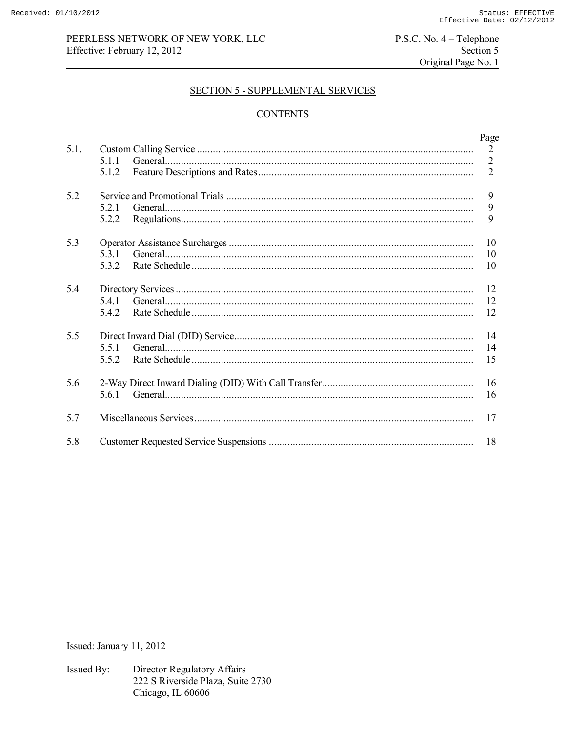# PEERLESS NETWORK OF NEW YORK, LLC Effective: February 12, 2012

 $P.S.C. No. 4 - Telephone$ Section 5 Original Page No. 1

### **SECTION 5 - SUPPLEMENTAL SERVICES**

# **CONTENTS**

|      |       | Page           |
|------|-------|----------------|
| 5.1. |       | 2              |
|      | 5.1.1 | $\overline{2}$ |
|      | 5.1.2 | 2              |
| 5.2  |       | 9              |
|      | 5.2.1 | 9              |
|      | 5.2.2 | 9              |
| 5.3  |       | 10             |
|      | 531   | 10             |
|      | 532   | 10             |
| 54   |       | 12             |
|      | 5.4.1 | 12             |
|      | 5.4.2 | 12             |
| 5.5  |       | 14             |
|      | 5.5.1 | 14             |
|      | 5.5.2 | 15             |
| 5.6  |       | 16             |
|      | 5.6.1 | 16             |
| 5.7  |       | 17             |
| 5.8  |       | 18             |

Issued: January 11, 2012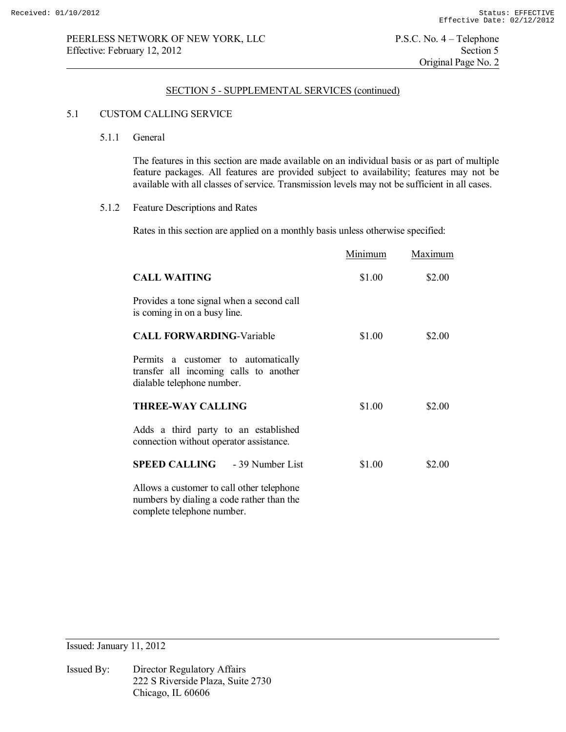### 5.1 CUSTOM CALLING SERVICE

5.1.1 General

 The features in this section are made available on an individual basis or as part of multiple feature packages. All features are provided subject to availability; features may not be available with all classes of service. Transmission levels may not be sufficient in all cases.

5.1.2 Feature Descriptions and Rates

Rates in this section are applied on a monthly basis unless otherwise specified:

|                                                                                                                      | Minimum | Maximum |
|----------------------------------------------------------------------------------------------------------------------|---------|---------|
| <b>CALL WAITING</b>                                                                                                  | \$1.00  | \$2.00  |
| Provides a tone signal when a second call<br>is coming in on a busy line.                                            |         |         |
| <b>CALL FORWARDING-Variable</b>                                                                                      | \$1.00  | \$2.00  |
| Permits a customer to automatically<br>transfer all incoming calls to another<br>dialable telephone number.          |         |         |
| <b>THREE-WAY CALLING</b>                                                                                             | \$1.00  | \$2.00  |
| Adds a third party to an established<br>connection without operator assistance.                                      |         |         |
| <b>SPEED CALLING</b> - 39 Number List                                                                                | \$1.00  | \$2.00  |
| Allows a customer to call other telephone<br>numbers by dialing a code rather than the<br>complete telephone number. |         |         |

Issued: January 11, 2012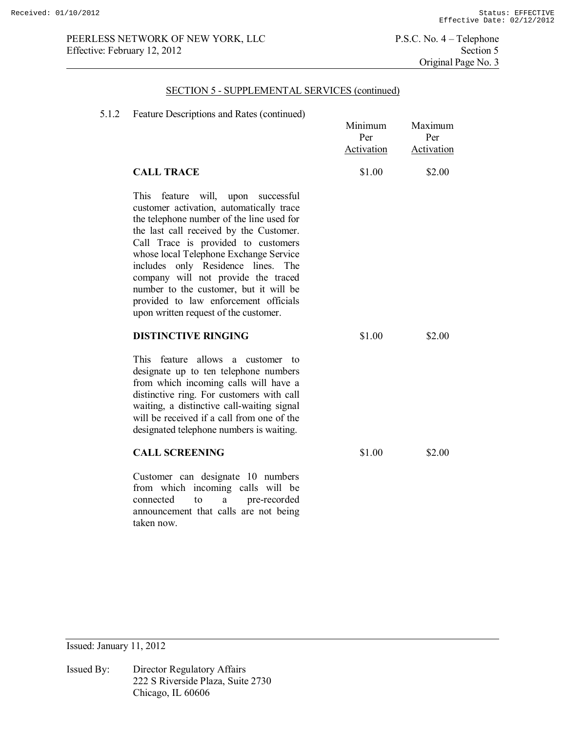# SECTION 5 - SUPPLEMENTAL SERVICES (continued)

## 5.1.2 Feature Descriptions and Rates (continued)

| Pearlie Descriptions and Nates (Communed)                                                                                                                                                                                                                                                                                                                                                                                                                                  | Minimum<br>Per<br>Activation | Maximum<br>Per<br>Activation |
|----------------------------------------------------------------------------------------------------------------------------------------------------------------------------------------------------------------------------------------------------------------------------------------------------------------------------------------------------------------------------------------------------------------------------------------------------------------------------|------------------------------|------------------------------|
| <b>CALL TRACE</b>                                                                                                                                                                                                                                                                                                                                                                                                                                                          | \$1.00                       | \$2.00                       |
| <b>This</b><br>feature will, upon successful<br>customer activation, automatically trace<br>the telephone number of the line used for<br>the last call received by the Customer.<br>Call Trace is provided to customers<br>whose local Telephone Exchange Service<br>includes only Residence lines. The<br>company will not provide the traced<br>number to the customer, but it will be<br>provided to law enforcement officials<br>upon written request of the customer. |                              |                              |
| <b>DISTINCTIVE RINGING</b>                                                                                                                                                                                                                                                                                                                                                                                                                                                 | \$1.00                       | \$2.00                       |
| This feature allows a customer to<br>designate up to ten telephone numbers<br>from which incoming calls will have a<br>distinctive ring. For customers with call<br>waiting, a distinctive call-waiting signal<br>will be received if a call from one of the<br>designated telephone numbers is waiting.                                                                                                                                                                   |                              |                              |
| <b>CALL SCREENING</b>                                                                                                                                                                                                                                                                                                                                                                                                                                                      | \$1.00                       | \$2.00                       |
| Customer can designate 10 numbers<br>incoming calls will be<br>from which<br>pre-recorded<br>connected<br>to<br>a                                                                                                                                                                                                                                                                                                                                                          |                              |                              |

Issued: January 11, 2012

Issued By: Director Regulatory Affairs 222 S Riverside Plaza, Suite 2730 Chicago, IL 60606

taken now.

announcement that calls are not being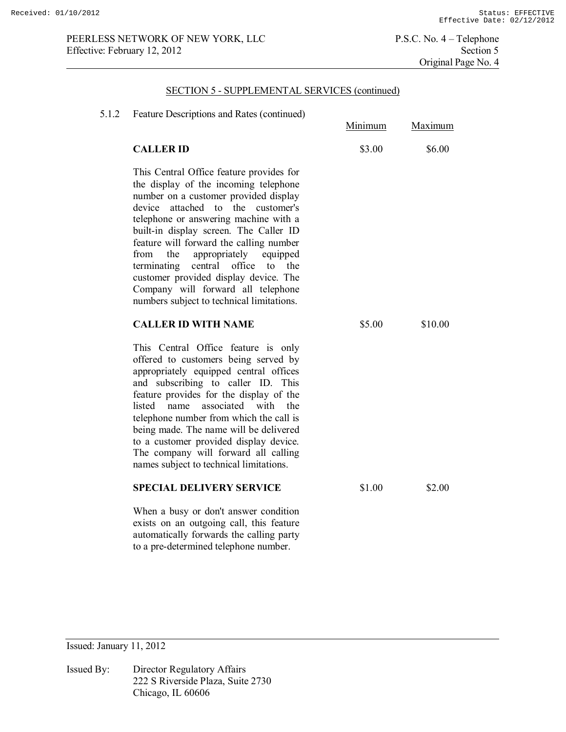# SECTION 5 - SUPPLEMENTAL SERVICES (continued)

| 5.1.2 | Feature Descriptions and Rates (continued)                                                                                                                                                                                                                                                                                                                                                                                                                                                                                   | Minimum | Maximum |
|-------|------------------------------------------------------------------------------------------------------------------------------------------------------------------------------------------------------------------------------------------------------------------------------------------------------------------------------------------------------------------------------------------------------------------------------------------------------------------------------------------------------------------------------|---------|---------|
|       | <b>CALLER ID</b>                                                                                                                                                                                                                                                                                                                                                                                                                                                                                                             | \$3.00  | \$6.00  |
|       | This Central Office feature provides for<br>the display of the incoming telephone<br>number on a customer provided display<br>attached to<br>the customer's<br>device<br>telephone or answering machine with a<br>built-in display screen. The Caller ID<br>feature will forward the calling number<br>from<br>the<br>appropriately<br>equipped<br>central<br>terminating<br>office<br>to<br>the<br>customer provided display device. The<br>Company will forward all telephone<br>numbers subject to technical limitations. |         |         |
|       | <b>CALLER ID WITH NAME</b>                                                                                                                                                                                                                                                                                                                                                                                                                                                                                                   | \$5.00  | \$10.00 |
|       | This Central Office feature is only<br>offered to customers being served by<br>appropriately equipped central offices<br>and subscribing to caller ID. This<br>feature provides for the display of the<br>listed<br>name<br>associated<br>with<br>the<br>telephone number from which the call is<br>being made. The name will be delivered<br>to a customer provided display device.<br>The company will forward all calling<br>names subject to technical limitations.                                                      |         |         |
|       | <b>SPECIAL DELIVERY SERVICE</b>                                                                                                                                                                                                                                                                                                                                                                                                                                                                                              | \$1.00  | \$2.00  |
|       | When a busy or don't answer condition<br>exists on an outgoing call, this feature                                                                                                                                                                                                                                                                                                                                                                                                                                            |         |         |

Issued: January 11, 2012

Issued By: Director Regulatory Affairs 222 S Riverside Plaza, Suite 2730 Chicago, IL 60606

automatically forwards the calling party to a pre-determined telephone number.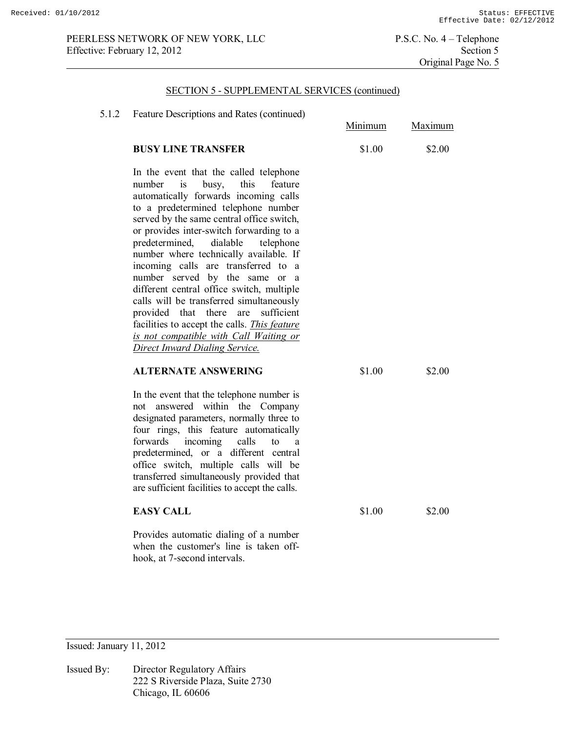#### SECTION 5 - SUPPLEMENTAL SERVICES (continued)

| 5.1.2 | Feature Descriptions and Rates (continued)                                                                                                                                                                                                                                                                                                                                                                                                                                                                                                                                                                                                                                                     | Minimum | Maximum |
|-------|------------------------------------------------------------------------------------------------------------------------------------------------------------------------------------------------------------------------------------------------------------------------------------------------------------------------------------------------------------------------------------------------------------------------------------------------------------------------------------------------------------------------------------------------------------------------------------------------------------------------------------------------------------------------------------------------|---------|---------|
|       | <b>BUSY LINE TRANSFER</b>                                                                                                                                                                                                                                                                                                                                                                                                                                                                                                                                                                                                                                                                      | \$1.00  | \$2.00  |
|       | In the event that the called telephone<br>number<br>this<br>is<br>busy,<br>feature<br>automatically forwards incoming calls<br>to a predetermined telephone number<br>served by the same central office switch,<br>or provides inter-switch forwarding to a<br>predetermined,<br>dialable<br>telephone<br>number where technically available. If<br>incoming calls are transferred to a<br>number served by the same or a<br>different central office switch, multiple<br>calls will be transferred simultaneously<br>provided that there are<br>sufficient<br>facilities to accept the calls. <i>This feature</i><br>is not compatible with Call Waiting or<br>Direct Inward Dialing Service. |         |         |
|       | <b>ALTERNATE ANSWERING</b>                                                                                                                                                                                                                                                                                                                                                                                                                                                                                                                                                                                                                                                                     | \$1.00  | \$2.00  |
|       | In the event that the telephone number is<br>not answered within the Company<br>designated parameters, normally three to<br>four rings, this feature automatically<br>incoming<br>forwards<br>calls<br>to<br>a<br>predetermined, or a different central<br>office switch, multiple calls will be<br>transferred simultaneously provided that<br>are sufficient facilities to accept the calls.                                                                                                                                                                                                                                                                                                 |         |         |
|       | <b>EASY CALL</b>                                                                                                                                                                                                                                                                                                                                                                                                                                                                                                                                                                                                                                                                               | \$1.00  | \$2.00  |
|       | Provides automatic dialing of a number<br>when the customer's line is taken off-<br>hook, at 7-second intervals.                                                                                                                                                                                                                                                                                                                                                                                                                                                                                                                                                                               |         |         |

Issued: January 11, 2012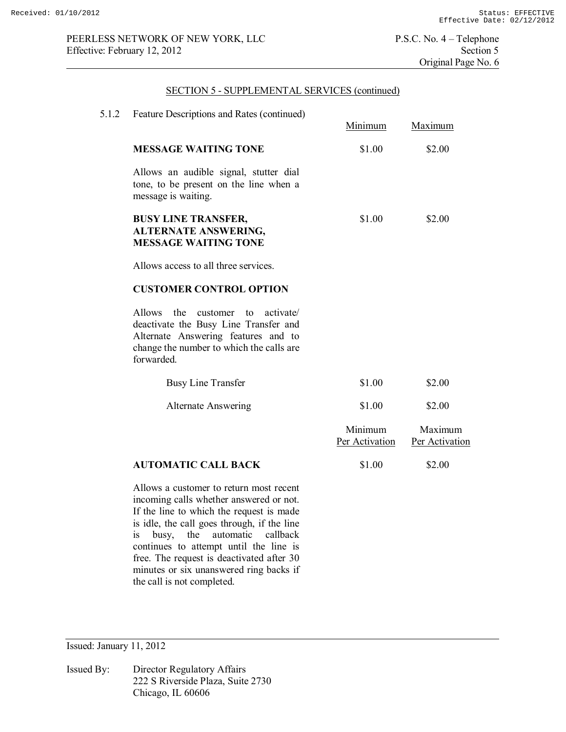# SECTION 5 - SUPPLEMENTAL SERVICES (continued)

| 5.1.2 | Feature Descriptions and Rates (continued)                                                                                                                                                    | Minimum                   | Maximum                   |
|-------|-----------------------------------------------------------------------------------------------------------------------------------------------------------------------------------------------|---------------------------|---------------------------|
|       | <b>MESSAGE WAITING TONE</b>                                                                                                                                                                   | \$1.00                    | \$2.00                    |
|       | Allows an audible signal, stutter dial<br>tone, to be present on the line when a<br>message is waiting.                                                                                       |                           |                           |
|       | <b>BUSY LINE TRANSFER,</b><br><b>ALTERNATE ANSWERING,</b><br><b>MESSAGE WAITING TONE</b>                                                                                                      | \$1.00                    | \$2.00                    |
|       | Allows access to all three services.                                                                                                                                                          |                           |                           |
|       | <b>CUSTOMER CONTROL OPTION</b>                                                                                                                                                                |                           |                           |
|       | Allows<br>the<br>customer<br>activate/<br>$\sim$ to<br>deactivate the Busy Line Transfer and<br>Alternate Answering features and to<br>change the number to which the calls are<br>forwarded. |                           |                           |
|       | <b>Busy Line Transfer</b>                                                                                                                                                                     | \$1.00                    | \$2.00                    |
|       | <b>Alternate Answering</b>                                                                                                                                                                    | \$1.00                    | \$2.00                    |
|       |                                                                                                                                                                                               | Minimum<br>Per Activation | Maximum<br>Per Activation |
|       | <b>AUTOMATIC CALL BACK</b>                                                                                                                                                                    | \$1.00                    | \$2.00                    |
|       | Allows a customer to return most recent                                                                                                                                                       |                           |                           |

Allows a customer to return most recent incoming calls whether answered or not. If the line to which the request is made is idle, the call goes through, if the line is busy, the automatic callback continues to attempt until the line is free. The request is deactivated after 30 minutes or six unanswered ring backs if the call is not completed.

Issued: January 11, 2012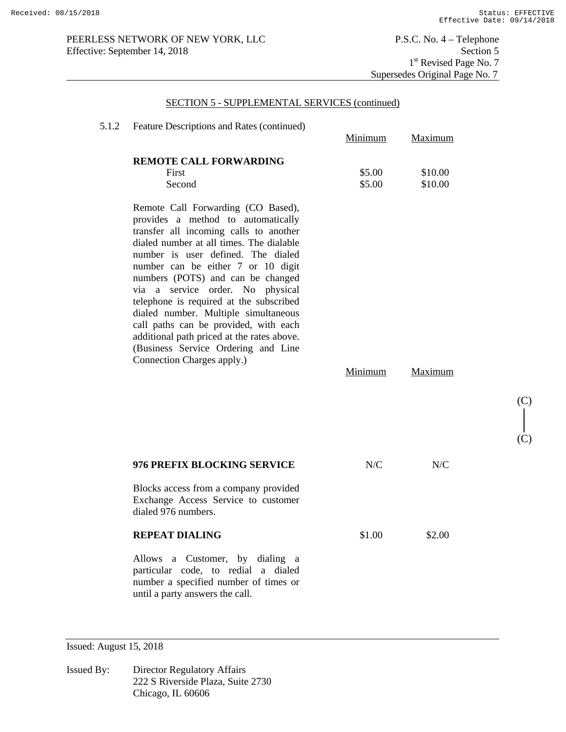(C)

(C)

PEERLESS NETWORK OF NEW YORK, LLC P.S.C. No. 4 – Telephone<br>Effective: September 14, 2018 Section 5 Effective: September 14, 2018

# SECTION 5 - SUPPLEMENTAL SERVICES (continued)

| 5.1.2 | Feature Descriptions and Rates (continued)                                                                                                                                                                                                                                                                                                                                                                                                                                                                                                                         | Minimum          | Maximum            |
|-------|--------------------------------------------------------------------------------------------------------------------------------------------------------------------------------------------------------------------------------------------------------------------------------------------------------------------------------------------------------------------------------------------------------------------------------------------------------------------------------------------------------------------------------------------------------------------|------------------|--------------------|
|       | <b>REMOTE CALL FORWARDING</b><br>First<br>Second                                                                                                                                                                                                                                                                                                                                                                                                                                                                                                                   | \$5.00<br>\$5.00 | \$10.00<br>\$10.00 |
|       | Remote Call Forwarding (CO Based),<br>provides a method to automatically<br>transfer all incoming calls to another<br>dialed number at all times. The dialable<br>number is user defined. The dialed<br>number can be either 7 or 10 digit<br>numbers (POTS) and can be changed<br>via a service order. No physical<br>telephone is required at the subscribed<br>dialed number. Multiple simultaneous<br>call paths can be provided, with each<br>additional path priced at the rates above.<br>(Business Service Ordering and Line<br>Connection Charges apply.) | Minimum          | Maximum            |
|       |                                                                                                                                                                                                                                                                                                                                                                                                                                                                                                                                                                    |                  |                    |
|       | 976 PREFIX BLOCKING SERVICE                                                                                                                                                                                                                                                                                                                                                                                                                                                                                                                                        | N/C              | N/C                |
|       | Blocks access from a company provided<br>Exchange Access Service to customer<br>dialed 976 numbers.                                                                                                                                                                                                                                                                                                                                                                                                                                                                |                  |                    |
|       | <b>REPEAT DIALING</b>                                                                                                                                                                                                                                                                                                                                                                                                                                                                                                                                              | \$1.00           | \$2.00             |
|       | Allows a Customer, by dialing a<br>particular code, to redial a dialed<br>number a specified number of times or<br>until a party answers the call.                                                                                                                                                                                                                                                                                                                                                                                                                 |                  |                    |

Issued: August 15, 2018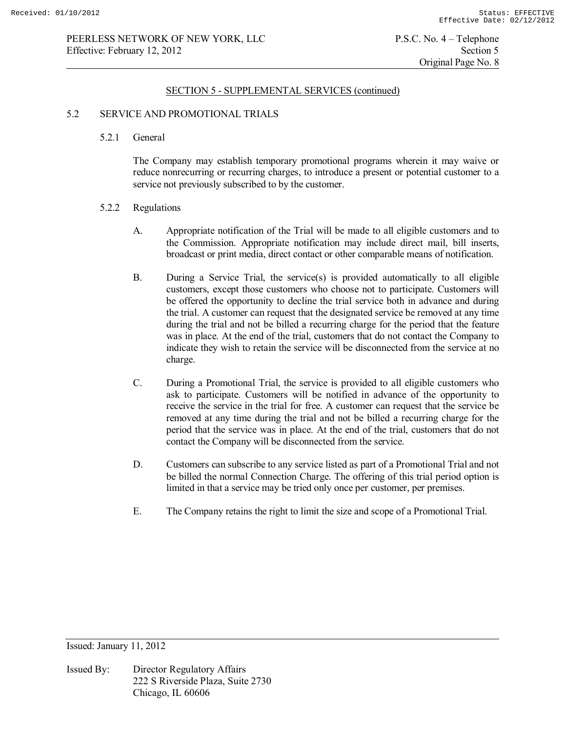### 5.2 SERVICE AND PROMOTIONAL TRIALS

5.2.1 General

 The Company may establish temporary promotional programs wherein it may waive or reduce nonrecurring or recurring charges, to introduce a present or potential customer to a service not previously subscribed to by the customer.

#### 5.2.2 Regulations

- A. Appropriate notification of the Trial will be made to all eligible customers and to the Commission. Appropriate notification may include direct mail, bill inserts, broadcast or print media, direct contact or other comparable means of notification.
- B. During a Service Trial, the service(s) is provided automatically to all eligible customers, except those customers who choose not to participate. Customers will be offered the opportunity to decline the trial service both in advance and during the trial. A customer can request that the designated service be removed at any time during the trial and not be billed a recurring charge for the period that the feature was in place. At the end of the trial, customers that do not contact the Company to indicate they wish to retain the service will be disconnected from the service at no charge.
- C. During a Promotional Trial, the service is provided to all eligible customers who ask to participate. Customers will be notified in advance of the opportunity to receive the service in the trial for free. A customer can request that the service be removed at any time during the trial and not be billed a recurring charge for the period that the service was in place. At the end of the trial, customers that do not contact the Company will be disconnected from the service.
- D. Customers can subscribe to any service listed as part of a Promotional Trial and not be billed the normal Connection Charge. The offering of this trial period option is limited in that a service may be tried only once per customer, per premises.
- E. The Company retains the right to limit the size and scope of a Promotional Trial.

Issued: January 11, 2012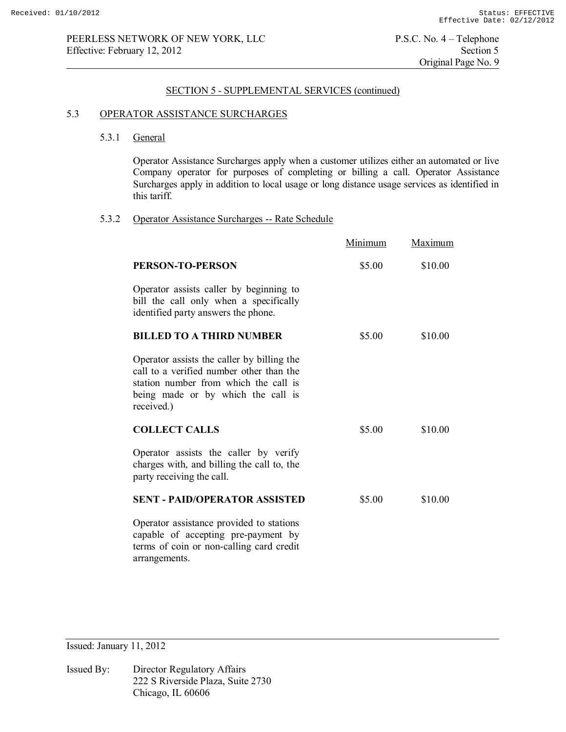### 5.3 OPERATOR ASSISTANCE SURCHARGES

## 5.3.1 General

Operator Assistance Surcharges apply when a customer utilizes either an automated or live Company operator for purposes of completing or billing a call. Operator Assistance Surcharges apply in addition to local usage or long distance usage services as identified in this tariff.

## 5.3.2 Operator Assistance Surcharges -- Rate Schedule

|                                                                                                                                                                                     | Minimum | Maximum |
|-------------------------------------------------------------------------------------------------------------------------------------------------------------------------------------|---------|---------|
| <b>PERSON-TO-PERSON</b>                                                                                                                                                             | \$5.00  | \$10.00 |
| Operator assists caller by beginning to<br>bill the call only when a specifically<br>identified party answers the phone.                                                            |         |         |
| <b>BILLED TO A THIRD NUMBER</b>                                                                                                                                                     | \$5.00  | \$10.00 |
| Operator assists the caller by billing the<br>call to a verified number other than the<br>station number from which the call is<br>being made or by which the call is<br>received.) |         |         |
| <b>COLLECT CALLS</b>                                                                                                                                                                | \$5.00  | \$10.00 |
| Operator assists the caller by verify<br>charges with, and billing the call to, the<br>party receiving the call.                                                                    |         |         |
| <b>SENT - PAID/OPERATOR ASSISTED</b>                                                                                                                                                | \$5.00  | \$10.00 |
| Operator assistance provided to stations<br>capable of accepting pre-payment by<br>terms of coin or non-calling card credit<br>arrangements.                                        |         |         |

Issued: January 11, 2012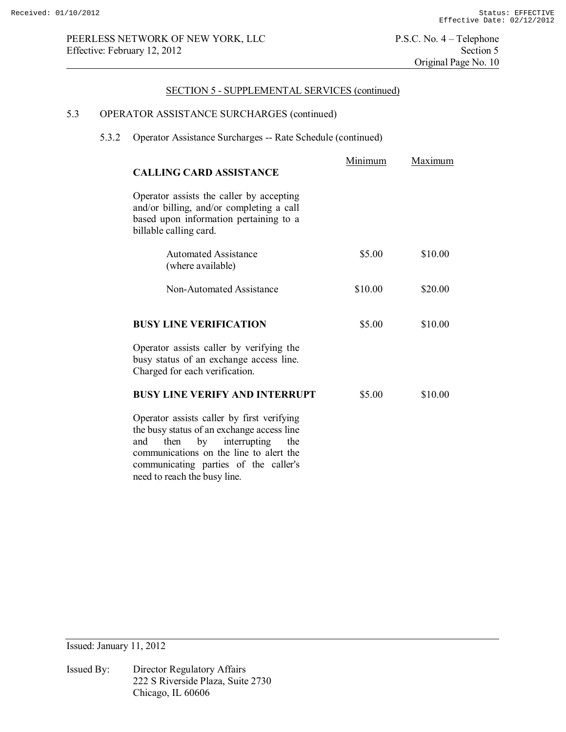# 5.3 OPERATOR ASSISTANCE SURCHARGES (continued)

communicating parties of the caller's

need to reach the busy line.

# 5.3.2 Operator Assistance Surcharges -- Rate Schedule (continued)

| <b>CALLING CARD ASSISTANCE</b>                                                                                                                                               | Minimum | Maximum |
|------------------------------------------------------------------------------------------------------------------------------------------------------------------------------|---------|---------|
| Operator assists the caller by accepting<br>and/or billing, and/or completing a call<br>based upon information pertaining to a<br>billable calling card.                     |         |         |
| <b>Automated Assistance</b><br>(where available)                                                                                                                             | \$5.00  | \$10.00 |
| Non-Automated Assistance                                                                                                                                                     | \$10.00 | \$20.00 |
| <b>BUSY LINE VERIFICATION</b>                                                                                                                                                | \$5.00  | \$10.00 |
| Operator assists caller by verifying the<br>busy status of an exchange access line.<br>Charged for each verification.                                                        |         |         |
| <b>BUSY LINE VERIFY AND INTERRUPT</b>                                                                                                                                        | \$5.00  | \$10.00 |
| Operator assists caller by first verifying<br>the busy status of an exchange access line<br>by interrupting<br>then<br>the<br>and<br>communications on the line to alert the |         |         |

Issued: January 11, 2012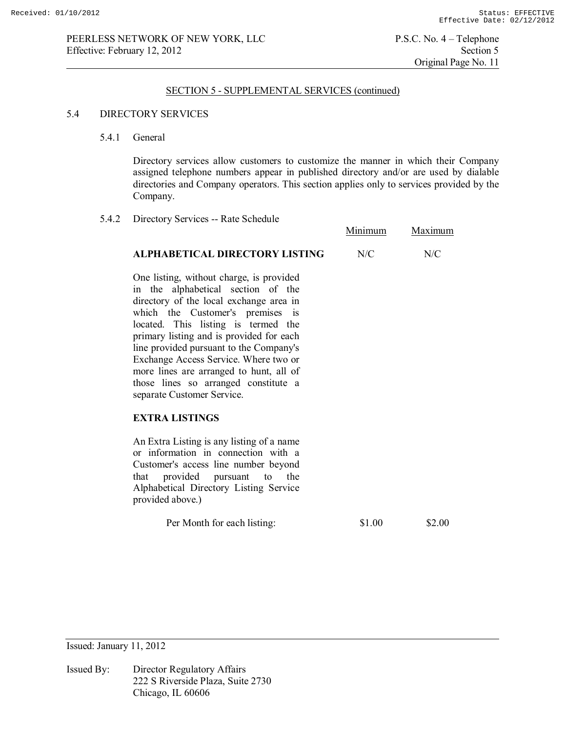5.4.2 Directory Services -- Rate Schedule

#### SECTION 5 - SUPPLEMENTAL SERVICES (continued)

#### 5.4 DIRECTORY SERVICES

5.4.1 General

Directory services allow customers to customize the manner in which their Company assigned telephone numbers appear in published directory and/or are used by dialable directories and Company operators. This section applies only to services provided by the Company.

 Minimum Maximum **ALPHABETICAL DIRECTORY LISTING** N/C N/C One listing, without charge, is provided in the alphabetical section of the directory of the local exchange area in which the Customer's premises is located. This listing is termed the primary listing and is provided for each line provided pursuant to the Company's Exchange Access Service. Where two or more lines are arranged to hunt, all of those lines so arranged constitute a separate Customer Service. **EXTRA LISTINGS** An Extra Listing is any listing of a name or information in connection with a Customer's access line number beyond that provided pursuant to the Alphabetical Directory Listing Service provided above.) Per Month for each listing: \$1.00 \$2.00

Issued: January 11, 2012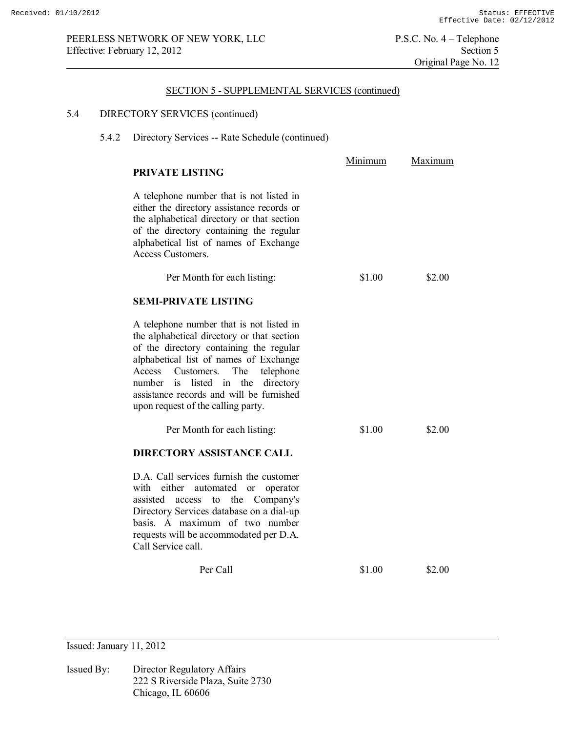# 5.4 DIRECTORY SERVICES (continued)

5.4.2 Directory Services -- Rate Schedule (continued)

| PRIVATE LISTING                                                                                                                                                                                                                                                                                                                                         | <u>Minimum</u> | <u>Maximum</u> |
|---------------------------------------------------------------------------------------------------------------------------------------------------------------------------------------------------------------------------------------------------------------------------------------------------------------------------------------------------------|----------------|----------------|
| A telephone number that is not listed in<br>either the directory assistance records or<br>the alphabetical directory or that section<br>of the directory containing the regular<br>alphabetical list of names of Exchange<br>Access Customers.                                                                                                          |                |                |
| Per Month for each listing:                                                                                                                                                                                                                                                                                                                             | \$1.00         | \$2.00         |
| <b>SEMI-PRIVATE LISTING</b>                                                                                                                                                                                                                                                                                                                             |                |                |
| A telephone number that is not listed in<br>the alphabetical directory or that section<br>of the directory containing the regular<br>alphabetical list of names of Exchange<br>The<br>telephone<br>Access<br>Customers.<br>listed in<br>the<br>directory<br>number is<br>assistance records and will be furnished<br>upon request of the calling party. |                |                |
| Per Month for each listing:                                                                                                                                                                                                                                                                                                                             | \$1.00         | \$2.00         |
| <b>DIRECTORY ASSISTANCE CALL</b>                                                                                                                                                                                                                                                                                                                        |                |                |
| D.A. Call services furnish the customer<br>either<br>with<br>automated<br>or<br>operator<br>Company's<br>assisted<br>the<br>access<br>to<br>Directory Services database on a dial-up<br>basis. A maximum of two number<br>requests will be accommodated per D.A.<br>Call Service call.                                                                  |                |                |
| Per Call                                                                                                                                                                                                                                                                                                                                                | \$1.00         | \$2.00         |

Issued: January 11, 2012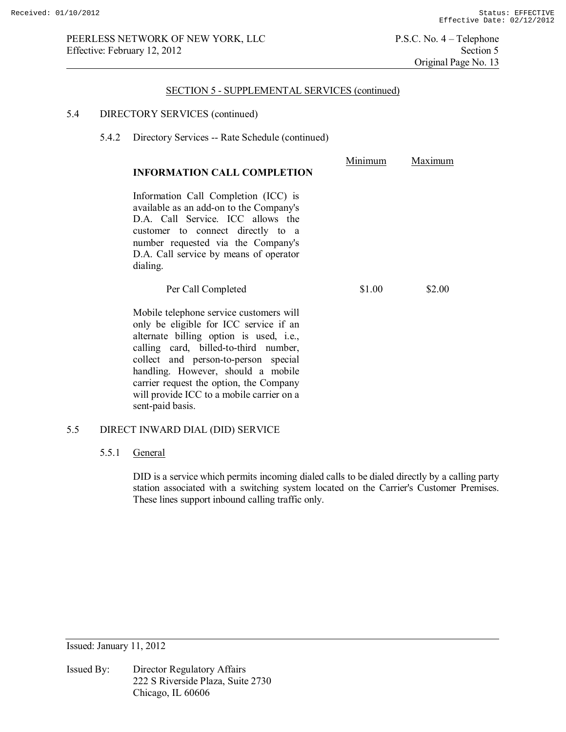## 5.4 DIRECTORY SERVICES (continued)

5.4.2 Directory Services -- Rate Schedule (continued)

| <b>INFORMATION CALL COMPLETION</b>                                                                                                                                                                                                                                                                                                                              | Minimum | Maximum |
|-----------------------------------------------------------------------------------------------------------------------------------------------------------------------------------------------------------------------------------------------------------------------------------------------------------------------------------------------------------------|---------|---------|
| Information Call Completion (ICC) is<br>available as an add-on to the Company's<br>D.A. Call Service. ICC allows the<br>customer to connect directly to a<br>number requested via the Company's<br>D.A. Call service by means of operator<br>dialing.                                                                                                           |         |         |
| Per Call Completed                                                                                                                                                                                                                                                                                                                                              | \$1.00  | \$2.00  |
| Mobile telephone service customers will<br>only be eligible for ICC service if an<br>alternate billing option is used, i.e.,<br>calling card, billed-to-third number,<br>collect and person-to-person special<br>handling. However, should a mobile<br>carrier request the option, the Company<br>will provide ICC to a mobile carrier on a<br>sent-paid basis. |         |         |

## 5.5 DIRECT INWARD DIAL (DID) SERVICE

### 5.5.1 General

DID is a service which permits incoming dialed calls to be dialed directly by a calling party station associated with a switching system located on the Carrier's Customer Premises. These lines support inbound calling traffic only.

Issued: January 11, 2012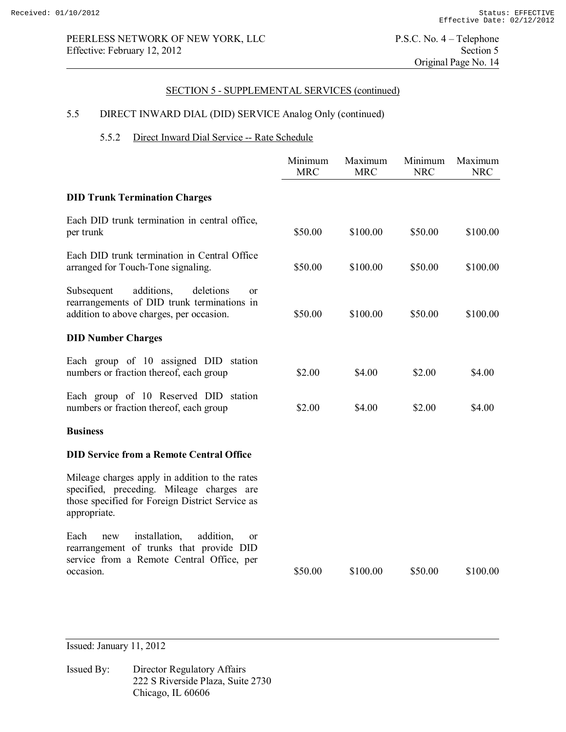# 5.5 DIRECT INWARD DIAL (DID) SERVICE Analog Only (continued)

## 5.5.2 Direct Inward Dial Service -- Rate Schedule

|                                                                                                                                                                  | Minimum<br><b>MRC</b> | Maximum<br><b>MRC</b> | Minimum<br><b>NRC</b> | Maximum<br><b>NRC</b> |
|------------------------------------------------------------------------------------------------------------------------------------------------------------------|-----------------------|-----------------------|-----------------------|-----------------------|
| <b>DID Trunk Termination Charges</b>                                                                                                                             |                       |                       |                       |                       |
| Each DID trunk termination in central office,<br>per trunk                                                                                                       | \$50.00               | \$100.00              | \$50.00               | \$100.00              |
| Each DID trunk termination in Central Office<br>arranged for Touch-Tone signaling.                                                                               | \$50.00               | \$100.00              | \$50.00               | \$100.00              |
| additions,<br>Subsequent<br>deletions<br><sub>or</sub><br>rearrangements of DID trunk terminations in<br>addition to above charges, per occasion.                | \$50.00               | \$100.00              | \$50.00               | \$100.00              |
| <b>DID Number Charges</b>                                                                                                                                        |                       |                       |                       |                       |
| Each group of 10 assigned DID station<br>numbers or fraction thereof, each group                                                                                 | \$2.00                | \$4.00                | \$2.00                | \$4.00                |
| Each group of 10 Reserved DID station<br>numbers or fraction thereof, each group                                                                                 | \$2.00                | \$4.00                | \$2.00                | \$4.00                |
| <b>Business</b>                                                                                                                                                  |                       |                       |                       |                       |
| <b>DID Service from a Remote Central Office</b>                                                                                                                  |                       |                       |                       |                       |
| Mileage charges apply in addition to the rates<br>specified, preceding. Mileage charges are<br>those specified for Foreign District Service as<br>appropriate.   |                       |                       |                       |                       |
| Each<br>installation,<br>addition,<br>new<br><sub>or</sub><br>rearrangement of trunks that provide DID<br>service from a Remote Central Office, per<br>occasion. | \$50.00               | \$100.00              | \$50.00               | \$100.00              |

Issued: January 11, 2012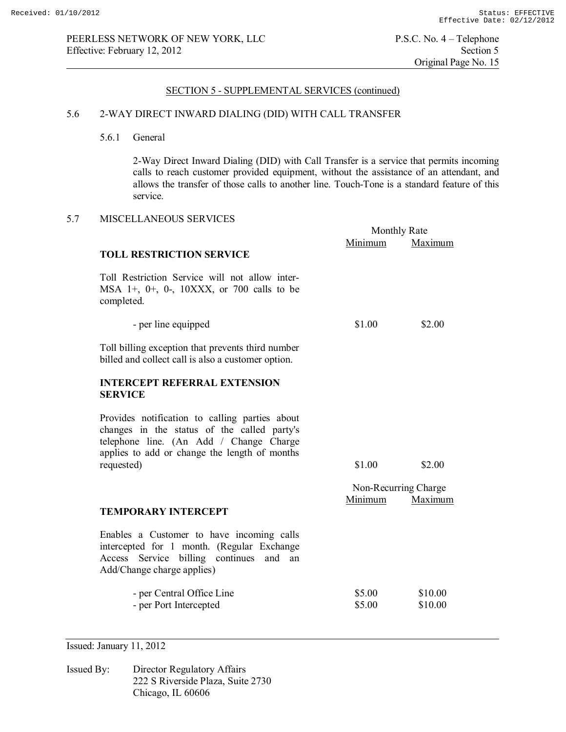### 5.6 2-WAY DIRECT INWARD DIALING (DID) WITH CALL TRANSFER

5.6.1 General

2-Way Direct Inward Dialing (DID) with Call Transfer is a service that permits incoming calls to reach customer provided equipment, without the assistance of an attendant, and allows the transfer of those calls to another line. Touch-Tone is a standard feature of this service.

### 5.7 MISCELLANEOUS SERVICES

|                                                                                                                                                                                                         | <b>Monthly Rate</b>  |                    |
|---------------------------------------------------------------------------------------------------------------------------------------------------------------------------------------------------------|----------------------|--------------------|
|                                                                                                                                                                                                         | Minimum              | Maximum            |
| <b>TOLL RESTRICTION SERVICE</b>                                                                                                                                                                         |                      |                    |
| Toll Restriction Service will not allow inter-<br>MSA 1+, 0+, 0-, 10XXX, or 700 calls to be<br>completed.                                                                                               |                      |                    |
| - per line equipped                                                                                                                                                                                     | \$1.00               | \$2.00             |
| Toll billing exception that prevents third number<br>billed and collect call is also a customer option.                                                                                                 |                      |                    |
| <b>INTERCEPT REFERRAL EXTENSION</b><br><b>SERVICE</b>                                                                                                                                                   |                      |                    |
| Provides notification to calling parties about<br>changes in the status of the called party's<br>telephone line. (An Add / Change Charge<br>applies to add or change the length of months<br>requested) | \$1.00               | \$2.00             |
|                                                                                                                                                                                                         | Non-Recurring Charge |                    |
| <b>TEMPORARY INTERCEPT</b>                                                                                                                                                                              | Minimum              | Maximum            |
| Enables a Customer to have incoming calls<br>intercepted for 1 month. (Regular Exchange<br>Service billing continues<br>Access<br>and<br>an<br>Add/Change charge applies)                               |                      |                    |
| - per Central Office Line<br>- per Port Intercepted                                                                                                                                                     | \$5.00<br>\$5.00     | \$10.00<br>\$10.00 |

Issued: January 11, 2012